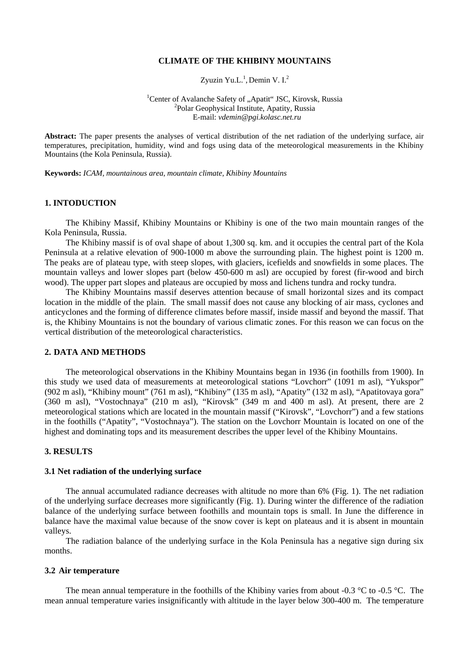# **CLIMATE OF THE KHIBINY MOUNTAINS**

Zyuzin Yu.L.<sup>1</sup>, Demin V.I.<sup>2</sup>

<sup>1</sup> Center of Avalanche Safety of "Apatit" JSC, Kirovsk, Russia  $\frac{2 \text{polar} \text{ Geomb}}{2 \text{molar}}$ <sup>2</sup>Polar Geophysical Institute, Apatity, Russia E-mail: *[vdemin@pgi.kolasc.net.ru](mailto:vdemin@pgi.kolasc.net.ru)*

**Abstract:** The paper presents the analyses of vertical distribution of the net radiation of the underlying surface, air temperatures, precipitation, humidity, wind and fogs using data of the meteorological measurements in the Khibiny Mountains (the Kola Peninsula, Russia).

**Keywords:** *ICAM, mountainous area, mountain climate, Khibiny Mountains*

## **1. INTODUCTION**

The Khibiny Massif, Khibiny Mountains or Khibiny is one of the two main mountain ranges of the Kola Peninsula, Russia.

The Khibiny massif is of oval shape of about 1,300 sq. km. and it occupies the central part of the Kola Peninsula at a relative elevation of 900-1000 m above the surrounding plain. The highest point is 1200 m. The peaks are of plateau type, with steep slopes, with glaciers, icefields and snowfields in some places. The mountain valleys and lower slopes part (below 450-600 m asl) are occupied by forest (fir-wood and birch wood). The upper part slopes and plateaus are occupied by moss and lichens tundra and rocky tundra.

The Khibiny Mountains massif deserves attention because of small horizontal sizes and its compact location in the middle of the plain. The small massif does not cause any blocking of air mass, cyclones and anticyclones and the forming of difference climates before massif, inside massif and beyond the massif. That is, the Khibiny Mountains is not the boundary of various climatic zones. For this reason we can focus on the vertical distribution of the meteorological characteristics.

# **2. DATA AND METHODS**

The meteorological observations in the Khibiny Mountains began in 1936 (in foothills from 1900). In this study we used data of measurements at meteorological stations "Lovchorr" (1091 m asl), "Yukspor" (902 m asl), "Khibiny mount" (761 m asl), "Khibiny" (135 m asl), "Apatity" (132 m asl), "Apatitovaya gora" (360 m asl), "Vostochnaya" (210 m asl), "Kirovsk" (349 m and 400 m asl). At present, there are 2 meteorological stations which are located in the mountain massif ("Kirovsk", "Lovchorr") and a few stations in the foothills ("Apatity", "Vostochnaya"). The station on the Lovchorr Mountain is located on one of the highest and dominating tops and its measurement describes the upper level of the Khibiny Mountains.

# **3. RESULTS**

## **3.1 Net radiation of the underlying surface**

The annual accumulated radiance decreases with altitude no more than 6% (Fig. 1). The net radiation of the underlying surface decreases more significantly (Fig. 1). During winter the difference of the radiation balance of the underlying surface between foothills and mountain tops is small. In June the difference in balance have the maximal value because of the snow cover is kept on plateaus and it is absent in mountain valleys.

The radiation balance of the underlying surface in the Kola Peninsula has a negative sign during six months.

## **3.2 Air temperature**

The mean annual temperature in the foothills of the Khibiny varies from about -0.3  $\degree$ C to -0.5  $\degree$ C. The mean annual temperature varies insignificantly with altitude in the layer below 300-400 m. The temperature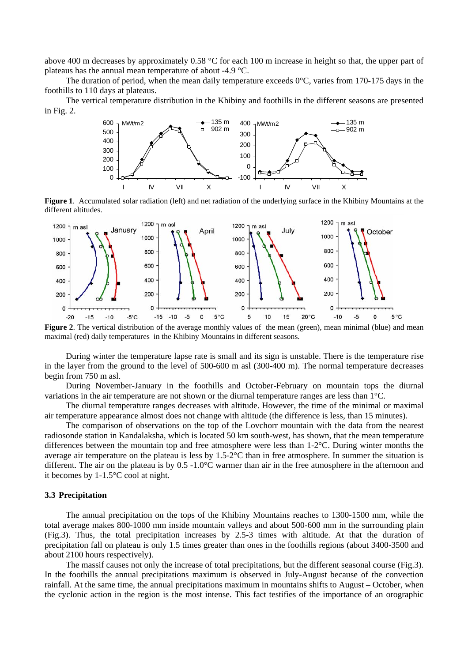above 400 m decreases by approximately 0.58 °C for each 100 m increase in height so that, the upper part of plateaus has the annual mean temperature of about -4.9 °C.

The duration of period, when the mean daily temperature exceeds  $0^{\circ}$ C, varies from 170-175 days in the foothills to 110 days at plateaus.

The vertical temperature distribution in the Khibiny and foothills in the different seasons are presented in Fig. 2.



different altitudes.



**Figure 2**. The vertical distribution of the average monthly values of the mean (green), mean minimal (blue) and mean maximal (red) daily temperatures in the Khibiny Mountains in different seasons.

During winter the temperature lapse rate is small and its sign is unstable. There is the temperature rise in the layer from the ground to the level of 500-600 m asl (300-400 m). The normal temperature decreases begin from 750 m asl.

During November-January in the foothills and October-February on mountain tops the diurnal variations in the air temperature are not shown or the diurnal temperature ranges are less than 1°C.

The diurnal temperature ranges decreases with altitude. However, the time of the minimal or maximal air temperature appearance almost does not change with altitude (the difference is less, than 15 minutes).

The comparison of observations on the top of the Lovchorr mountain with the data from the nearest radiosonde station in Kandalaksha, which is located 50 km south-west, has shown, that the mean temperature differences between the mountain top and free atmosphere were less than 1-2°C. During winter months the average air temperature on the plateau is less by 1.5-2°C than in free atmosphere. In summer the situation is different. The air on the plateau is by 0.5 -1.0°C warmer than air in the free atmosphere in the afternoon and it becomes by 1-1.5°C cool at night.

#### **3.3 Precipitation**

The annual precipitation on the tops of the Khibiny Mountains reaches to 1300-1500 mm, while the total average makes 800-1000 mm inside mountain valleys and about 500-600 mm in the surrounding plain (Fig.3). Thus, the total precipitation increases by 2.5-3 times with altitude. At that the duration of precipitation fall on plateau is only 1.5 times greater than ones in the foothills regions (about 3400-3500 and about 2100 hours respectively).

The massif causes not only the increase of total precipitations, but the different seasonal course (Fig.3). In the foothills the annual precipitations maximum is observed in July-August because of the convection rainfall. At the same time, the annual precipitations maximum in mountains shifts to August – October, when the cyclonic action in the region is the most intense. This fact testifies of the importance of an orographic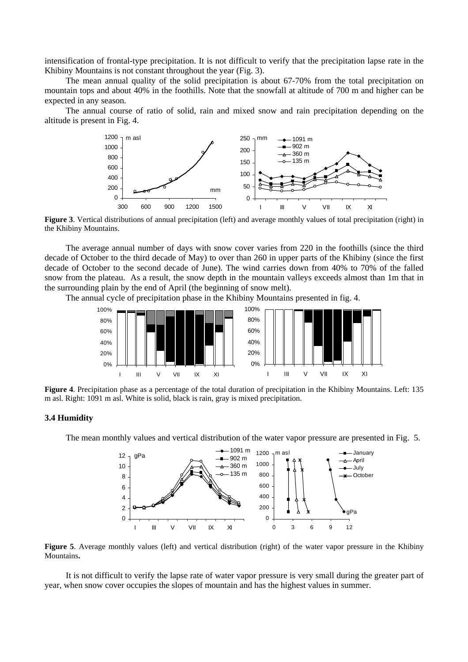intensification of frontal-type precipitation. It is not difficult to verify that the precipitation lapse rate in the Khibiny Mountains is not constant throughout the year (Fig. 3).

The mean annual quality of the solid precipitation is about 67-70% from the total precipitation on mountain tops and about 40% in the foothills. Note that the snowfall at altitude of 700 m and higher can be expected in any season.

The annual course of ratio of solid, rain and mixed snow and rain precipitation depending on the altitude is present in Fig. 4.



**Figure 3**. Vertical distributions of annual precipitation (left) and average monthly values of total precipitation (right) in the Khibiny Mountains.

The average annual number of days with snow cover varies from 220 in the foothills (since the third decade of October to the third decade of May) to over than 260 in upper parts of the Khibiny (since the first decade of October to the second decade of June). The wind carries down from 40% to 70% of the falled snow from the plateau. As a result, the snow depth in the mountain valleys exceeds almost than 1m that in the surrounding plain by the end of April (the beginning of snow melt).

The annual cycle of precipitation phase in the Khibiny Mountains presented in fig. 4.



**Figure 4**. Precipitation phase as a percentage of the total duration of precipitation in the Khibiny Mountains. Left: 135 m asl. Right: 1091 m asl. White is solid, black is rain, gray is mixed precipitation.

# **3.4 Humidity**

The mean monthly values and vertical distribution of the water vapor pressure are presented in Fig. 5.



**Figure 5**. Average monthly values (left) and vertical distribution (right) of the water vapor pressure in the Khibiny Mountains**.** 

It is not difficult to verify the lapse rate of water vapor pressure is very small during the greater part of year, when snow cover occupies the slopes of mountain and has the highest values in summer.